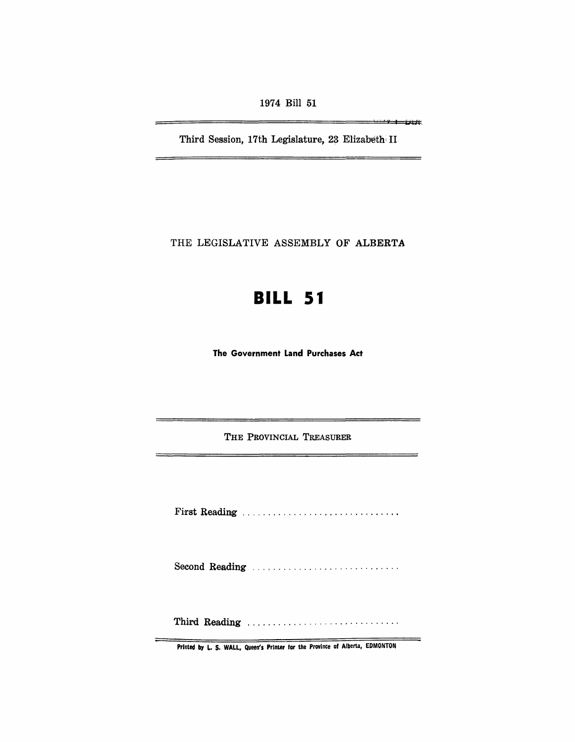1974 Bill 51

Third Session, 17th Legislature, 23 Elizabeth II

<u> I war yn Ljijt</u>

THE LEGISLATIVE ASSEMBLY OF ALBERTA

# **BILL 51**

The Government Land Purchases Act

THE PROVINCIAL TREASURER

Fi'rst Reading .............................. .

Second Reading ...............................

Th~d Reading ..............................

Printed by L. S. WALL, Queen's Printer for the Province of Alberta, EDMONTON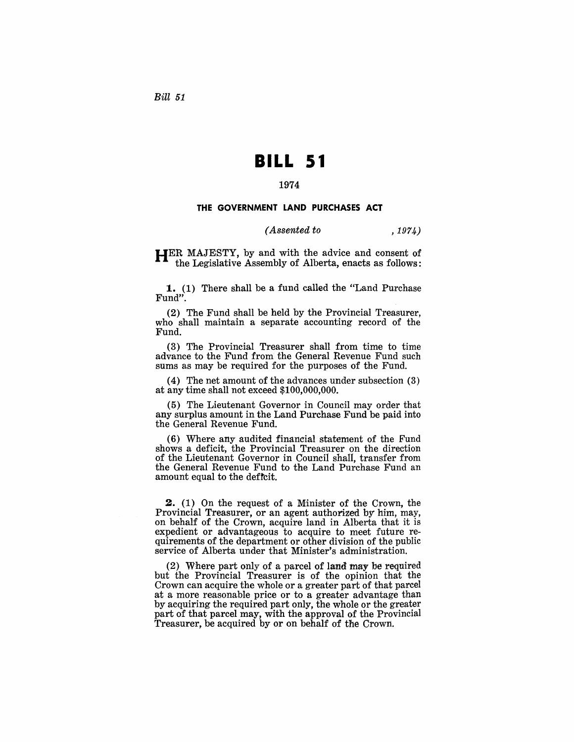Bill *51* 

# **BILL 51**

### 1974

#### THE GOVERNMENT LAND PURCHASES ACT

#### *(Assented to* , 1974)

HER MAJESTY, by and with the advice and consent of the Legislative Assembly of Alberta, enacts as follows:

1. (1) There shall be a fund called the "Land Purchase Fund".

(2) The Fund shall be held by the Provincial Treasurer, who shall maintain a separate accounting record of the Fund.

(3) The Provincial Treasurer shall from time to time advance to the Fund from the General Revenue Fund such sums as may be required for the purposes of the Fund.

(4) The net amount of the advances under subsection (3) at any time shall not exceed \$100,000,000.

(5) The Lieutenant Governor in Council may order that any surplus amount in the Land Purchase Fund be paid into the General Revenue Fund.

(6) Where any audited financial statement of the Fund shows a deficit, the Provincial Treasurer on the direction of the Lieutenant Governor in Council shaII, transfer from the General Revenue Fund to the Land Purchase Fund an amount equal to the deficit.

2. (1) On the request of a Minister of the Crown, the Provincial Treasurer, or an agent authorized by him, may, on behalf of the Crown, acquire land in Alberta that it is expedient or advantageous to acquire to meet future requirements of the department or other division of the public service of Alberta under that Minister's administration.

(2) Where part only of a parcel of land may be required but the Provincial Treasurer is of the opinion that the Crown can acquire the whole or a greater part of that parcel at a more reasonable price or to a greater advantage than by acquiring the required part only, the whole or the greater part of that parcel may, with the approval of the Provincial Treasurer, be acquired by or on behalf of the Crown.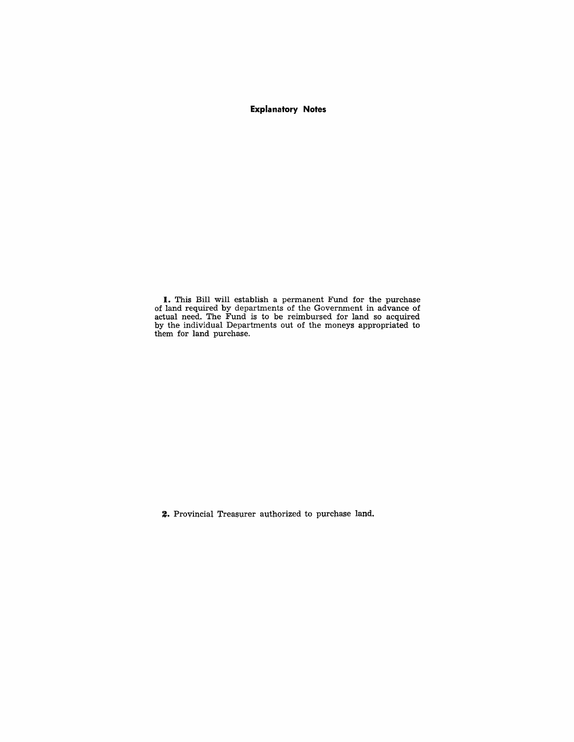## **Explanatory Notes**

I. This Bill will establish a permanent Fund for the purchase of land required by departments of the Government in advance of actual need. The Fund is to be reimbursed for land so acquired by the individual Departments out of the moneys appropriated to them for land purchase.

2. Provincial Treasurer authorized to purchase land.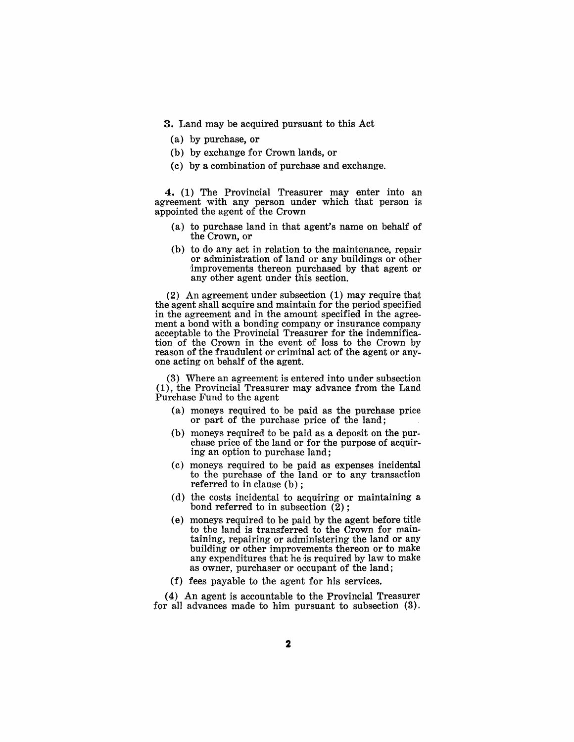3. Land may be acquired pursuant to this Act

- (a) by purchase, or
- (b) by exchange for Crown lands, or
- (c) by a combination of purchase and exchange.

4. (1) The Provincial Treasurer may enter into an agreement with any person under which that person is appointed the agent of the Crown

- (a) to purchase land in that agent's name on behalf of the Crown, or
- (b) to do any act in relation to the maintenance, repair or administration of land or any buildings or other improvements thereon purchased by that agent or any other agent under this section.

(2) An agreement under subsection (1) may require that the agent shall acquire and maintain for the period specified in the agreement and in the amount specified in the agreement a bond with a bonding company or insurance company acceptable to the Provincial Treasurer for the indemnification of the Crown in the event of loss to the Crown by reason of the fraudulent or criminal act of the agent or anyone acting on behalf of the agent.

(3) Where an agreement is entered into under subsection (1), the Provincial Treasurer may advance from the Land Purchase Fund to the agent

- (a) moneys required to be paid as the purchase price or part of the purchase price of the land;
- (b) moneys required to be paid as a deposit on the purchase price of the land or for the purpose of acquiring an option to purchase land;
- (c) moneys required to be paid as expenses incidental to the purchase of the land or to any transaction referred to in clause (b) ;
- (d) the costs incidental to acquiring or maintaining a bond referred to in subsection  $(2)$ :
- (e) moneys required to be paid by the agent before title to the land is transferred to the Crown for maintaining, repairing or administering the land or any building or other improvements thereon or to make any expenditures that he is required by law to make as owner, purchaser or occupant of the land;
- (f) fees payable to the agent for his services.

( 4) An agent is accountable to the Provincial Treasurer for all advances made to him pursuant to subsection (3).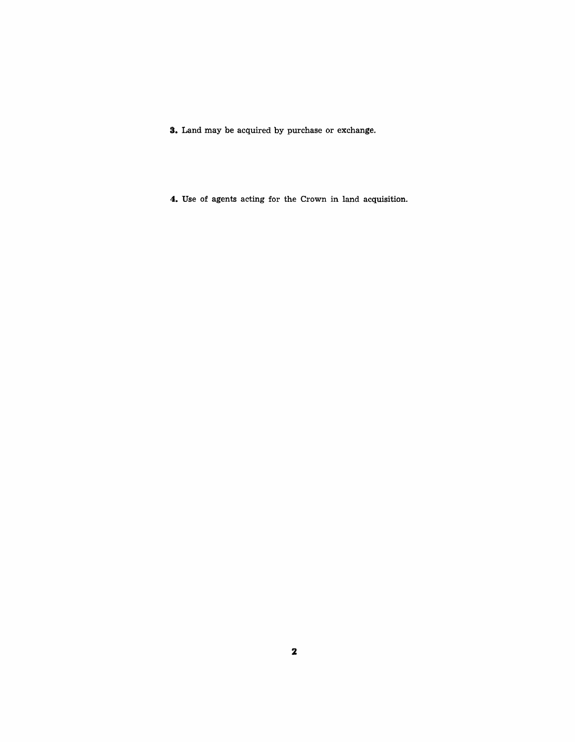**s.** Land may be acquired by purchase or exchange.

**4.** Use of agents acting for the Crown in land acquisition.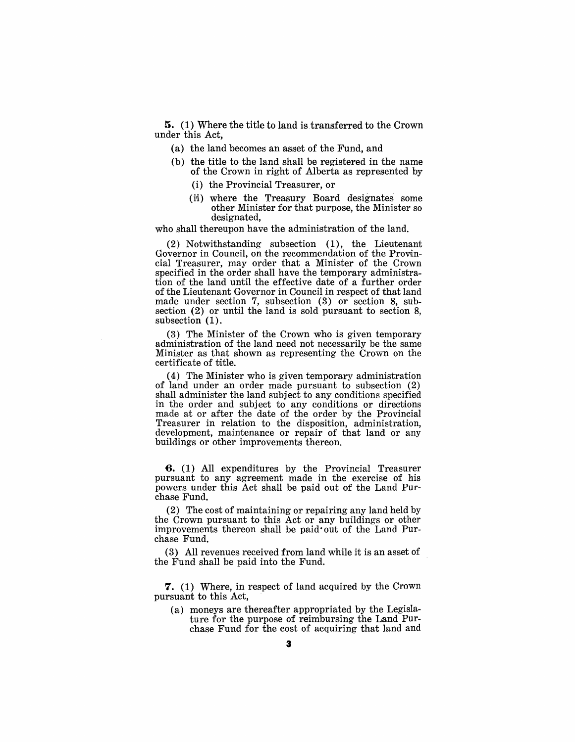**5.** (1) Where the title to land is transferred to the Crown under this Act,

- (a) the land becomes an asset of the Fund, and
- (b) the title to the land shall be registered in the name of the Crown in right of Alberta as represented by
	- (i) the Provincial Treasurer, or
	- (ii) where the Treasury Board designates some other Minister for that purpose, the Minister so designated,

who shall thereupon have the administration of the land.

(2) Notwithstanding subsection (1), the Lieutenant Governor in Council, on the recommendation of the Provincial Treasurer, may order that a Minister of the Crown specified in the order shall have the temporary administration of the land until the effective date of a further order of the Lieutenant Governor in Council in respect of that land made under section 7, subsection (3) or section 8, subsection (2) or until the land is sold pursuant to section 8, subsection (1).

(3) The Minister of the Crown who is given temporary administration of the land need not necessarily be the same Minister as that shown as representing the Crown on the certificate of title.

(4) The Minister who is given temporary administration of land under an order made pursuant to subsection (2) shall administer the land subject to any conditions specified in the order and subject to any conditions or directions made at or after the date of the order by the Provincial Treasurer in relation to the disposition, administration, development, maintenance or repair of that land or any buildings or other improvements thereon.

**6.** (1) All expenditures by the Provincial Treasurer pursuant to any agreement made in the exercise of his powers under this Act shall be paid out of the Land Purchase Fund.

(2) The cost of maintaining or repairing any land held by the Crown pursuant to this Act or any buildings or other improvements thereon shall be paid· out of the Land Purchase Fund.

(3) All revenues received from land while it is an asset of the Fund shall be paid into the Fund.

7. (1) Where, in respect of land acquired by the Crown pursuant to this Act,

(a) moneys are thereafter appropriated by the Legislature for the purpose of reimbursing the Land Purchase Fund for the cost of acquiring that land and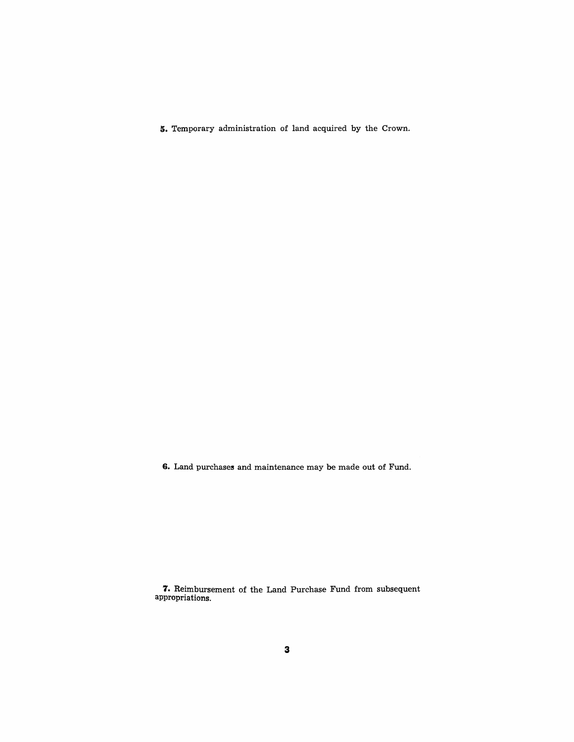**5.** Temporary administration of land acquired by the Crown.

6. Land purchases and maintenance may be made out of Fund.

**7.** Reimbursement of the Land Purchase Fund from subsequent appropriations.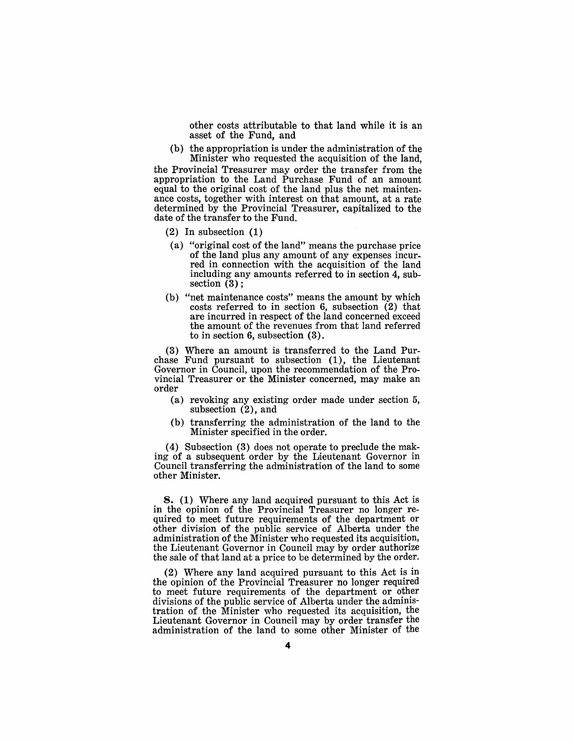other costs attributable to that land while it is an asset of the Fund, and

(b) the appropriation is under the administration of the Minister who requested the acquisition of the land,

the Provincial 'Treasurer may order the transfer from the appropriation to the Land Purchase Fund of an amount equal to the original cost of the land plus the net maintenance costs, together with interest on that amount, at a rate determined by the Provincial Treasurer, capitalized to the date of the transfer to the Fund.

- (2) In subsection (1)
- (a) "original cost of the land" means the purchase price of the land plus any amount of any expenses incurred in connection with the acquisition of the land including any amounts referred to in section 4, subsection (3) ;
- (b) "net maintenance costs" means the amount by which costs referred to in section 6, subsection (2) that are incurred in respect of the land concerned exceed the amount of the revenues from that land referred to in section 6, subsection (3).

(3) Where an amount is transferred to the Land Purchase Fund pursuant to subsection (1), the Lieutenant Governor in Council, upon the recommendation of the Provincial Treasurer or the Minister concerned, may make an order

- (a) revoking any existing order made under section 5, subsection (2), and
- (b) transferring the administration of the land to the Minister specified in the order.

(4) Subsection (3) does not operate to preclude the making of a subsequent order by the Lieutenant Governor in Council transferring the administration of the land to some other Minister.

8. (1) Where any land acquired pursuant to this Act is in the opinion of the Provincial Treasurer no longer required to meet future requirements of the department or other division of the public service of Alberta under the administration of the Minister who requested its acquisition, the Lieutenant Governor in Council may by order authorize the sale of that land at a price to be determined by the order.

(2) Where any land acquired pursuant to this Act is in the opinion of the Provincial Treasurer no longer required to meet future requirements of the department or other divisions of the public service of Alberta under the administration of the Minister who requested its acquisition, the Lieutenant Governor in Council may by order transfer the administration of the land to some other Minister of the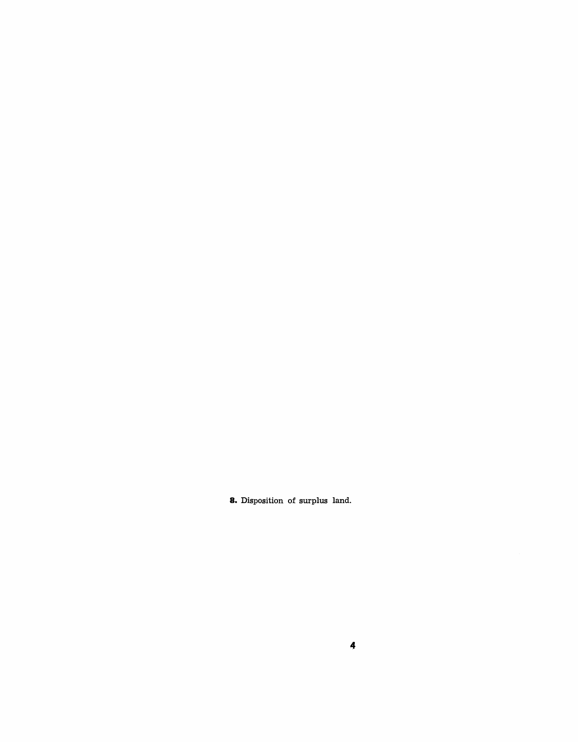**8.** Disposition of surplus land.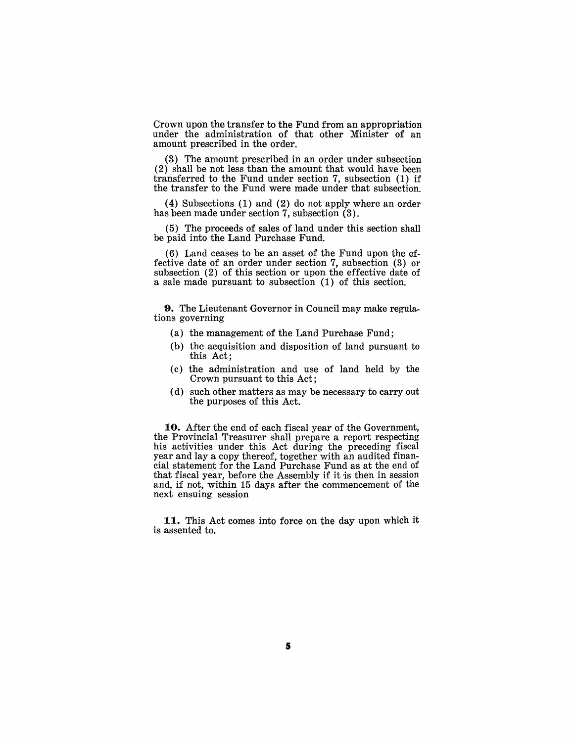Crown upon the transfer to the Fund from an appropriation under the administration of that other Minister of an amount prescribed in the order.

(3) The amount prescribed in an order under subsection (2) shall be not less than the amount that would have been transferred to the Fund under section 7, subsection (1) if the transfer to the Fund were made under that subsection.

(4) Subsections (1) and (2) do not apply where an order has been made under section 7, subsection (3).

( 5) The proceeds of sales of land under this section shall be paid into the Land Purchase Fund.

(6) Land ceases to be an asset of the Fund upon the effective date of an order under section 7, subsection (3) or subsection (2) of this section or upon the effective date of a sale made pursuant to subsection (1) of this section.

**9.** The Lieutenant Governor in Council may make regulations governing

- (a) the management of the Land Purchase Fund;
- (b) the acquisition and disposition of land pursuant to this Act;
- (c) the administration and use of land held by the Crown pursuant to this Act;
- (d) such other matters as may be necessary to carry out the purposes of this Act.

**10.** After the end of each fiscal year of the Government, the Provincial Treasurer shall prepare a report respecting his activities under this Act during the preceding fiscal year and lay a copy thereof, together with an audited financial statement for the Land Purchase Fund as at the end of that fiscal year, before the Assembly if it is then in session and, if not, within 15 days after the commencement of the next ensuing session

**11.** This Act comes into force on the day upon which it is assented to,